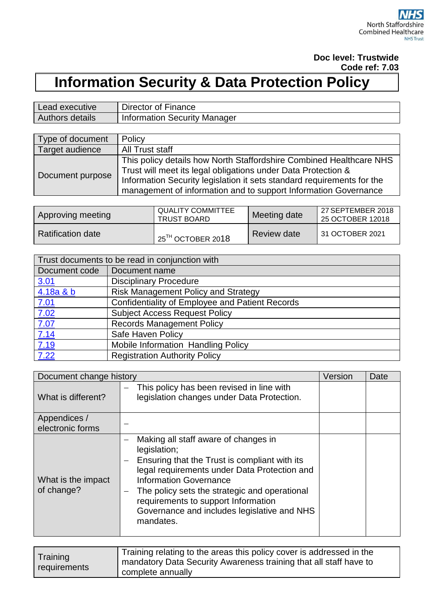#### **Doc level: Trustwide Code ref: 7.03**

# **Information Security & Data Protection Policy**

| Lead executive  | Director of Finance          |
|-----------------|------------------------------|
| Authors details | Information Security Manager |

| Type of document | Policy                                                                                                                                                                                                                                                                            |
|------------------|-----------------------------------------------------------------------------------------------------------------------------------------------------------------------------------------------------------------------------------------------------------------------------------|
| Target audience  | All Trust staff                                                                                                                                                                                                                                                                   |
| Document purpose | This policy details how North Staffordshire Combined Healthcare NHS<br>Trust will meet its legal obligations under Data Protection &<br>Information Security legislation it sets standard requirements for the<br>management of information and to support Information Governance |

| Approving meeting        | <b>QUALITY COMMITTEE</b><br><b>TRUST BOARD</b> | Meeting date | l 27 SEPTEMBER 2018<br>25 OCTOBER 12018 |
|--------------------------|------------------------------------------------|--------------|-----------------------------------------|
| <b>Ratification date</b> | $\,$ 25 $^{\rm{TH}}$ OCTOBER 20 $18$           | Review date  | 131 OCTOBER 2021                        |

|               | Trust documents to be read in conjunction with  |  |  |
|---------------|-------------------------------------------------|--|--|
| Document code | Document name                                   |  |  |
| <u>3.01</u>   | <b>Disciplinary Procedure</b>                   |  |  |
| 4.18a & b     | <b>Risk Management Policy and Strategy</b>      |  |  |
| <u>7.01</u>   | Confidentiality of Employee and Patient Records |  |  |
| 7.02          | <b>Subject Access Request Policy</b>            |  |  |
| 7.07          | <b>Records Management Policy</b>                |  |  |
| 7.14          | Safe Haven Policy                               |  |  |
| <u>7.19</u>   | Mobile Information Handling Policy              |  |  |
| 7.22          | <b>Registration Authority Policy</b>            |  |  |

| Document change history          |                                                                                                                                                                                                                                                                                                                                                                 | Version | Date |
|----------------------------------|-----------------------------------------------------------------------------------------------------------------------------------------------------------------------------------------------------------------------------------------------------------------------------------------------------------------------------------------------------------------|---------|------|
| What is different?               | This policy has been revised in line with<br>legislation changes under Data Protection.                                                                                                                                                                                                                                                                         |         |      |
| Appendices /<br>electronic forms |                                                                                                                                                                                                                                                                                                                                                                 |         |      |
| What is the impact<br>of change? | Making all staff aware of changes in<br>legislation;<br>Ensuring that the Trust is compliant with its<br>legal requirements under Data Protection and<br><b>Information Governance</b><br>The policy sets the strategic and operational<br>$\qquad \qquad -$<br>requirements to support Information<br>Governance and includes legislative and NHS<br>mandates. |         |      |

| complete annually |
|-------------------|
|-------------------|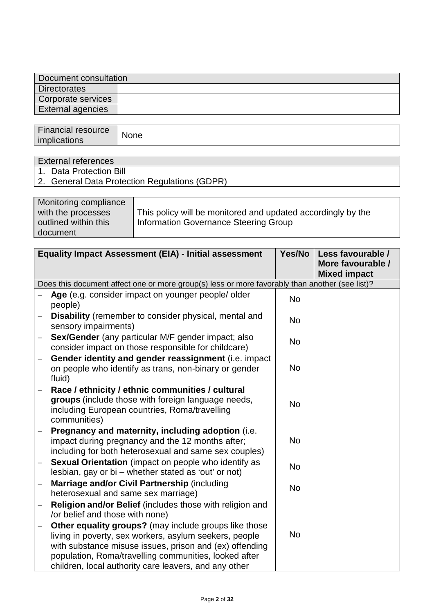| Document consultation |  |  |
|-----------------------|--|--|
| <b>Directorates</b>   |  |  |
| Corporate services    |  |  |
| External agencies     |  |  |

| <b>Financial resource</b> | None |
|---------------------------|------|
| <i>implications</i>       |      |

# External references

- 1. Data Protection Bill
- 2. General Data Protection Regulations (GDPR)

| Monitoring compliance<br>with the processes | This policy will be monitored and updated accordingly by the |
|---------------------------------------------|--------------------------------------------------------------|
| outlined within this                        | Information Governance Steering Group                        |
| document                                    |                                                              |

|                          | <b>Equality Impact Assessment (EIA) - Initial assessment</b>                                                                                                                                                                                                                                 | Yes/No    | Less favourable /<br>More favourable /<br><b>Mixed impact</b> |
|--------------------------|----------------------------------------------------------------------------------------------------------------------------------------------------------------------------------------------------------------------------------------------------------------------------------------------|-----------|---------------------------------------------------------------|
|                          | Does this document affect one or more group(s) less or more favorably than another (see list)?                                                                                                                                                                                               |           |                                                               |
|                          | Age (e.g. consider impact on younger people/ older<br>people)                                                                                                                                                                                                                                | <b>No</b> |                                                               |
| $\qquad \qquad -$        | <b>Disability</b> (remember to consider physical, mental and<br>sensory impairments)                                                                                                                                                                                                         | <b>No</b> |                                                               |
| $\overline{\phantom{0}}$ | Sex/Gender (any particular M/F gender impact; also<br>consider impact on those responsible for childcare)                                                                                                                                                                                    | <b>No</b> |                                                               |
|                          | Gender identity and gender reassignment (i.e. impact<br>on people who identify as trans, non-binary or gender<br>fluid)                                                                                                                                                                      | <b>No</b> |                                                               |
|                          | Race / ethnicity / ethnic communities / cultural<br>groups (include those with foreign language needs,<br>including European countries, Roma/travelling<br>communities)                                                                                                                      | <b>No</b> |                                                               |
|                          | Pregnancy and maternity, including adoption (i.e.<br>impact during pregnancy and the 12 months after;<br>including for both heterosexual and same sex couples)                                                                                                                               | <b>No</b> |                                                               |
|                          | Sexual Orientation (impact on people who identify as<br>lesbian, gay or bi – whether stated as 'out' or not)                                                                                                                                                                                 | <b>No</b> |                                                               |
|                          | Marriage and/or Civil Partnership (including<br>heterosexual and same sex marriage)                                                                                                                                                                                                          | <b>No</b> |                                                               |
|                          | Religion and/or Belief (includes those with religion and<br>/or belief and those with none)                                                                                                                                                                                                  |           |                                                               |
|                          | Other equality groups? (may include groups like those<br>living in poverty, sex workers, asylum seekers, people<br>with substance misuse issues, prison and (ex) offending<br>population, Roma/travelling communities, looked after<br>children, local authority care leavers, and any other | <b>No</b> |                                                               |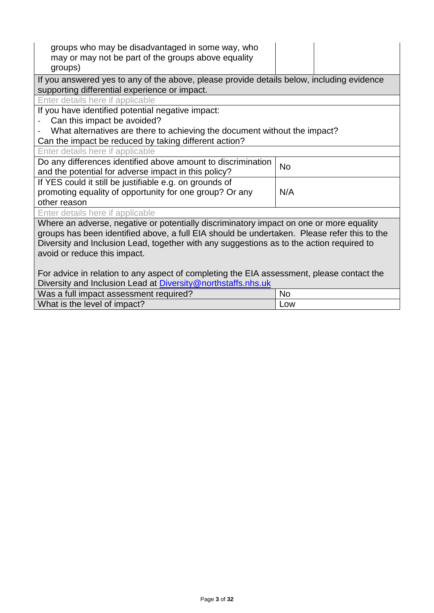| groups who may be disadvantaged in some way, who<br>may or may not be part of the groups above equality<br>groups) |           |  |  |
|--------------------------------------------------------------------------------------------------------------------|-----------|--|--|
| If you answered yes to any of the above, please provide details below, including evidence                          |           |  |  |
| supporting differential experience or impact.                                                                      |           |  |  |
| Enter details here if applicable                                                                                   |           |  |  |
| If you have identified potential negative impact:                                                                  |           |  |  |
| Can this impact be avoided?                                                                                        |           |  |  |
| What alternatives are there to achieving the document without the impact?                                          |           |  |  |
| Can the impact be reduced by taking different action?                                                              |           |  |  |
| Enter details here if applicable                                                                                   |           |  |  |
| Do any differences identified above amount to discrimination                                                       | <b>No</b> |  |  |
| and the potential for adverse impact in this policy?                                                               |           |  |  |
| If YES could it still be justifiable e.g. on grounds of                                                            |           |  |  |
| promoting equality of opportunity for one group? Or any                                                            | N/A       |  |  |
| other reason                                                                                                       |           |  |  |
| Enter details here if applicable                                                                                   |           |  |  |
| Where an adverse, negative or potentially discriminatory impact on one or more equality                            |           |  |  |
| groups has been identified above, a full EIA should be undertaken. Please refer this to the                        |           |  |  |
| Diversity and Inclusion Lead, together with any suggestions as to the action required to                           |           |  |  |
| avoid or reduce this impact.                                                                                       |           |  |  |
|                                                                                                                    |           |  |  |
| For advice in relation to any aspect of completing the EIA assessment, please contact the                          |           |  |  |
| Diversity and Inclusion Lead at Diversity@northstaffs.nhs.uk                                                       |           |  |  |
| Was a full impact assessment required?<br>No                                                                       |           |  |  |
| What is the level of impact?                                                                                       | Low       |  |  |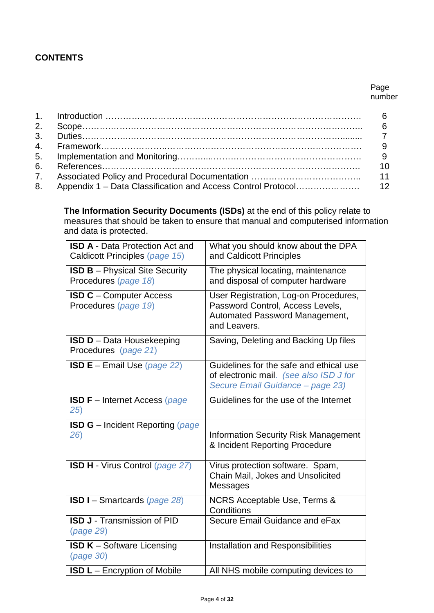## **CONTENTS**

#### Page number

**The Information Security Documents (ISDs)** at the end of this policy relate to measures that should be taken to ensure that manual and computerised information and data is protected.

| <b>ISD A - Data Protection Act and</b><br>Caldicott Principles (page 15) | What you should know about the DPA<br>and Caldicott Principles                                                              |
|--------------------------------------------------------------------------|-----------------------------------------------------------------------------------------------------------------------------|
| <b>ISD B</b> – Physical Site Security<br>Procedures (page 18)            | The physical locating, maintenance<br>and disposal of computer hardware                                                     |
| <b>ISD C</b> - Computer Access<br>Procedures (page 19)                   | User Registration, Log-on Procedures,<br>Password Control, Access Levels,<br>Automated Password Management,<br>and Leavers. |
| <b>ISD D</b> - Data Housekeeping<br>Procedures (page 21)                 | Saving, Deleting and Backing Up files                                                                                       |
| <b>ISD E</b> – Email Use (page 22)                                       | Guidelines for the safe and ethical use<br>of electronic mail. (see also ISD J for<br>Secure Email Guidance - page 23)      |
| <b>ISD F</b> - Internet Access (page<br>25)                              | Guidelines for the use of the Internet                                                                                      |
| <b>ISD G</b> - Incident Reporting (page<br>26)                           | <b>Information Security Risk Management</b><br>& Incident Reporting Procedure                                               |
| ISD H - Virus Control (page 27)                                          | Virus protection software. Spam,<br>Chain Mail, Jokes and Unsolicited<br>Messages                                           |
| <b>ISD I</b> – Smartcards (page 28)                                      | NCRS Acceptable Use, Terms &<br>Conditions                                                                                  |
| <b>ISD J - Transmission of PID</b><br>(page 29)                          | Secure Email Guidance and eFax                                                                                              |
| <b>ISD K</b> – Software Licensing<br>(page 30)                           | Installation and Responsibilities                                                                                           |
| <b>ISD L</b> – Encryption of Mobile                                      | All NHS mobile computing devices to                                                                                         |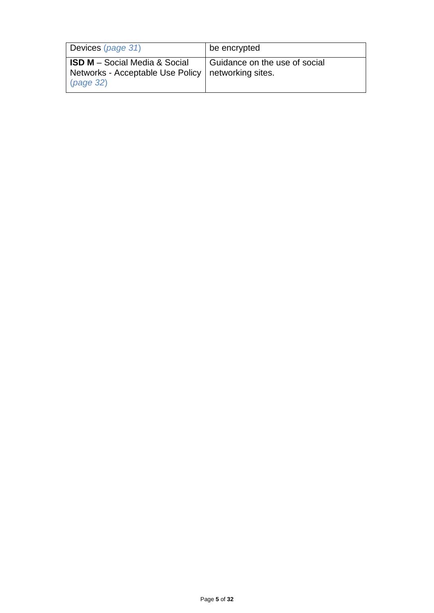| Devices (page 31)                                                                           | be encrypted                                       |
|---------------------------------------------------------------------------------------------|----------------------------------------------------|
| <b>ISD M</b> – Social Media & Social<br>Networks - Acceptable Use Policy<br>$\mu$ (page 32) | Guidance on the use of social<br>networking sites. |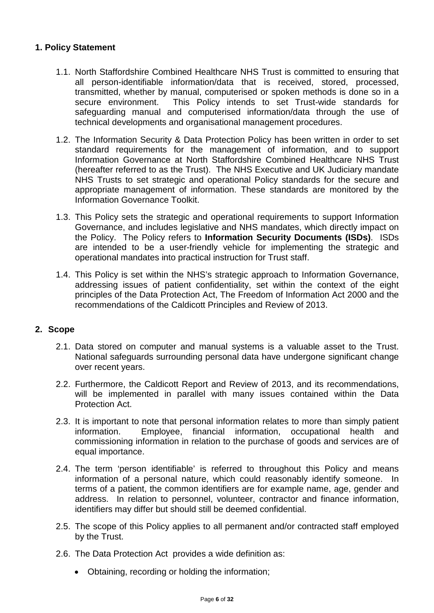## **1. Policy Statement**

- 1.1. North Staffordshire Combined Healthcare NHS Trust is committed to ensuring that all person-identifiable information/data that is received, stored, processed, transmitted, whether by manual, computerised or spoken methods is done so in a secure environment. This Policy intends to set Trust-wide standards for safeguarding manual and computerised information/data through the use of technical developments and organisational management procedures.
- 1.2. The Information Security & Data Protection Policy has been written in order to set standard requirements for the management of information, and to support Information Governance at North Staffordshire Combined Healthcare NHS Trust (hereafter referred to as the Trust). The NHS Executive and UK Judiciary mandate NHS Trusts to set strategic and operational Policy standards for the secure and appropriate management of information. These standards are monitored by the Information Governance Toolkit.
- 1.3. This Policy sets the strategic and operational requirements to support Information Governance, and includes legislative and NHS mandates, which directly impact on the Policy. The Policy refers to **Information Security Documents (ISDs)**. ISDs are intended to be a user-friendly vehicle for implementing the strategic and operational mandates into practical instruction for Trust staff.
- 1.4. This Policy is set within the NHS's strategic approach to Information Governance, addressing issues of patient confidentiality, set within the context of the eight principles of the Data Protection Act, The Freedom of Information Act 2000 and the recommendations of the Caldicott Principles and Review of 2013.

#### **2. Scope**

- 2.1. Data stored on computer and manual systems is a valuable asset to the Trust. National safeguards surrounding personal data have undergone significant change over recent years.
- 2.2. Furthermore, the Caldicott Report and Review of 2013, and its recommendations, will be implemented in parallel with many issues contained within the Data Protection Act.
- 2.3. It is important to note that personal information relates to more than simply patient information. Employee, financial information, occupational health and commissioning information in relation to the purchase of goods and services are of equal importance.
- 2.4. The term 'person identifiable' is referred to throughout this Policy and means information of a personal nature, which could reasonably identify someone. In terms of a patient, the common identifiers are for example name, age, gender and address. In relation to personnel, volunteer, contractor and finance information, identifiers may differ but should still be deemed confidential.
- 2.5. The scope of this Policy applies to all permanent and/or contracted staff employed by the Trust.
- 2.6. The Data Protection Act provides a wide definition as:
	- Obtaining, recording or holding the information;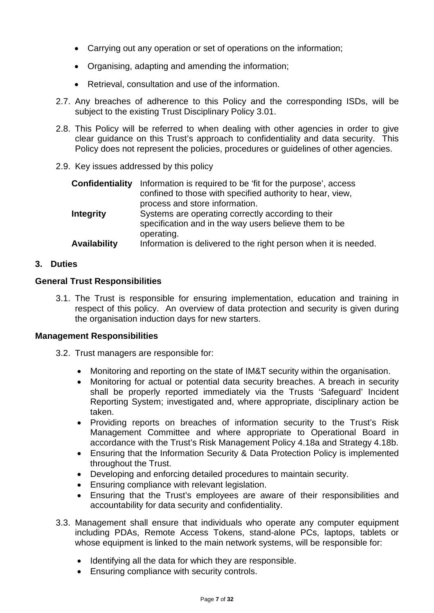- Carrying out any operation or set of operations on the information;
- Organising, adapting and amending the information;
- Retrieval, consultation and use of the information.
- 2.7. Any breaches of adherence to this Policy and the corresponding ISDs, will be subject to the existing Trust Disciplinary Policy 3.01.
- 2.8. This Policy will be referred to when dealing with other agencies in order to give clear guidance on this Trust's approach to confidentiality and data security. This Policy does not represent the policies, procedures or guidelines of other agencies.
- 2.9. Key issues addressed by this policy

| <b>Confidentiality</b> | Information is required to be 'fit for the purpose', access     |
|------------------------|-----------------------------------------------------------------|
|                        | confined to those with specified authority to hear, view,       |
|                        | process and store information.                                  |
| <b>Integrity</b>       | Systems are operating correctly according to their              |
|                        | specification and in the way users believe them to be           |
|                        | operating.                                                      |
| Availability           | Information is delivered to the right person when it is needed. |

#### **3. Duties**

#### **General Trust Responsibilities**

3.1. The Trust is responsible for ensuring implementation, education and training in respect of this policy. An overview of data protection and security is given during the organisation induction days for new starters.

#### **Management Responsibilities**

- 3.2. Trust managers are responsible for:
	- Monitoring and reporting on the state of IM&T security within the organisation.
	- Monitoring for actual or potential data security breaches. A breach in security shall be properly reported immediately via the Trusts 'Safeguard' Incident Reporting System; investigated and, where appropriate, disciplinary action be taken.
	- Providing reports on breaches of information security to the Trust's Risk Management Committee and where appropriate to Operational Board in accordance with the Trust's Risk Management Policy 4.18a and Strategy 4.18b.
	- Ensuring that the Information Security & Data Protection Policy is implemented throughout the Trust.
	- Developing and enforcing detailed procedures to maintain security.
	- Ensuring compliance with relevant legislation.
	- Ensuring that the Trust's employees are aware of their responsibilities and accountability for data security and confidentiality.
- 3.3. Management shall ensure that individuals who operate any computer equipment including PDAs, Remote Access Tokens, stand-alone PCs, laptops, tablets or whose equipment is linked to the main network systems, will be responsible for:
	- Identifying all the data for which they are responsible.
	- Ensuring compliance with security controls.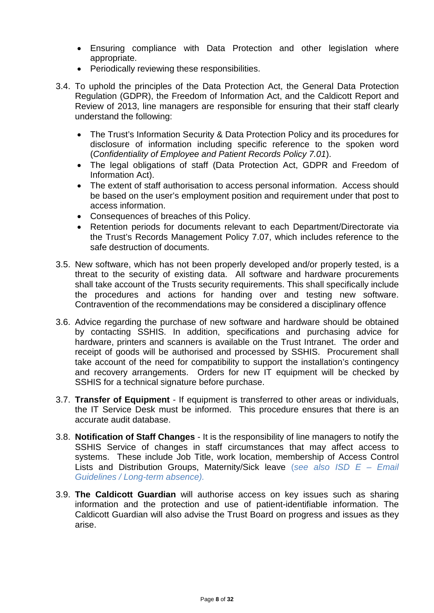- Ensuring compliance with Data Protection and other legislation where appropriate.
- Periodically reviewing these responsibilities.
- 3.4. To uphold the principles of the Data Protection Act, the General Data Protection Regulation (GDPR), the Freedom of Information Act, and the Caldicott Report and Review of 2013, line managers are responsible for ensuring that their staff clearly understand the following:
	- The Trust's Information Security & Data Protection Policy and its procedures for disclosure of information including specific reference to the spoken word (*Confidentiality of Employee and Patient Records Policy 7.01*).
	- The legal obligations of staff (Data Protection Act, GDPR and Freedom of Information Act).
	- The extent of staff authorisation to access personal information. Access should be based on the user's employment position and requirement under that post to access information.
	- Consequences of breaches of this Policy.
	- Retention periods for documents relevant to each Department/Directorate via the Trust's Records Management Policy 7.07, which includes reference to the safe destruction of documents.
- 3.5. New software, which has not been properly developed and/or properly tested, is a threat to the security of existing data. All software and hardware procurements shall take account of the Trusts security requirements. This shall specifically include the procedures and actions for handing over and testing new software. Contravention of the recommendations may be considered a disciplinary offence
- 3.6. Advice regarding the purchase of new software and hardware should be obtained by contacting SSHIS. In addition, specifications and purchasing advice for hardware, printers and scanners is available on the Trust Intranet. The order and receipt of goods will be authorised and processed by SSHIS. Procurement shall take account of the need for compatibility to support the installation's contingency and recovery arrangements. Orders for new IT equipment will be checked by SSHIS for a technical signature before purchase.
- 3.7. **Transfer of Equipment** If equipment is transferred to other areas or individuals, the IT Service Desk must be informed. This procedure ensures that there is an accurate audit database.
- 3.8. **Notification of Staff Changes** It is the responsibility of line managers to notify the SSHIS Service of changes in staff circumstances that may affect access to systems. These include Job Title, work location, membership of Access Control Lists and Distribution Groups, Maternity/Sick leave (*see also ISD E – Email Guidelines / Long-term absence).*
- 3.9. **The Caldicott Guardian** will authorise access on key issues such as sharing information and the protection and use of patient-identifiable information. The Caldicott Guardian will also advise the Trust Board on progress and issues as they arise.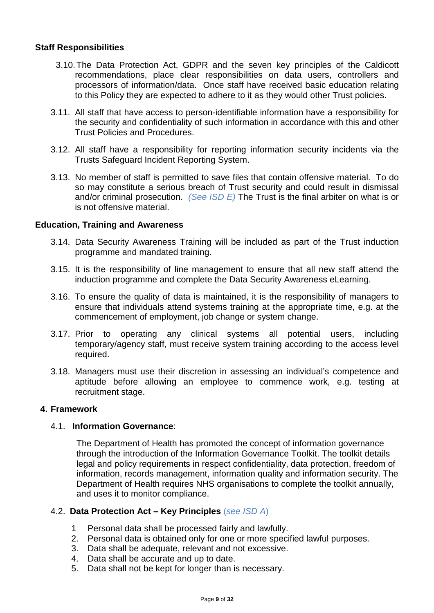#### **Staff Responsibilities**

- 3.10.The Data Protection Act, GDPR and the seven key principles of the Caldicott recommendations, place clear responsibilities on data users, controllers and processors of information/data. Once staff have received basic education relating to this Policy they are expected to adhere to it as they would other Trust policies.
- 3.11. All staff that have access to person-identifiable information have a responsibility for the security and confidentiality of such information in accordance with this and other Trust Policies and Procedures.
- 3.12. All staff have a responsibility for reporting information security incidents via the Trusts Safeguard Incident Reporting System.
- 3.13. No member of staff is permitted to save files that contain offensive material. To do so may constitute a serious breach of Trust security and could result in dismissal and/or criminal prosecution. *(See ISD E)* The Trust is the final arbiter on what is or is not offensive material.

#### **Education, Training and Awareness**

- 3.14. Data Security Awareness Training will be included as part of the Trust induction programme and mandated training.
- 3.15. It is the responsibility of line management to ensure that all new staff attend the induction programme and complete the Data Security Awareness eLearning.
- 3.16. To ensure the quality of data is maintained, it is the responsibility of managers to ensure that individuals attend systems training at the appropriate time, e.g. at the commencement of employment, job change or system change.
- 3.17. Prior to operating any clinical systems all potential users, including temporary/agency staff, must receive system training according to the access level required.
- 3.18. Managers must use their discretion in assessing an individual's competence and aptitude before allowing an employee to commence work, e.g. testing at recruitment stage.

#### **4. Framework**

#### 4.1. **Information Governance**:

The Department of Health has promoted the concept of information governance through the introduction of the Information Governance Toolkit. The toolkit details legal and policy requirements in respect confidentiality, data protection, freedom of information, records management, information quality and information security. The Department of Health requires NHS organisations to complete the toolkit annually, and uses it to monitor compliance.

#### 4.2. **Data Protection Act – Key Principles** (*see ISD A*)

- 1 Personal data shall be processed fairly and lawfully.
- 2. Personal data is obtained only for one or more specified lawful purposes.
- 3. Data shall be adequate, relevant and not excessive.
- 4. Data shall be accurate and up to date.
- 5. Data shall not be kept for longer than is necessary.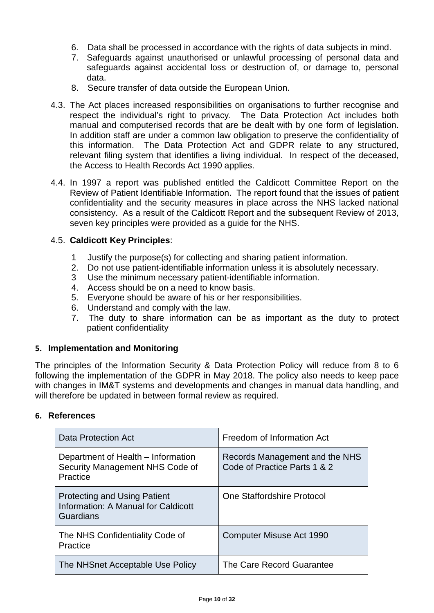- 6. Data shall be processed in accordance with the rights of data subjects in mind.
- 7. Safeguards against unauthorised or unlawful processing of personal data and safeguards against accidental loss or destruction of, or damage to, personal data.
- 8. Secure transfer of data outside the European Union.
- 4.3. The Act places increased responsibilities on organisations to further recognise and respect the individual's right to privacy. The Data Protection Act includes both manual and computerised records that are be dealt with by one form of legislation. In addition staff are under a common law obligation to preserve the confidentiality of this information. The Data Protection Act and GDPR relate to any structured, relevant filing system that identifies a living individual. In respect of the deceased, the Access to Health Records Act 1990 applies.
- 4.4. In 1997 a report was published entitled the Caldicott Committee Report on the Review of Patient Identifiable Information. The report found that the issues of patient confidentiality and the security measures in place across the NHS lacked national consistency. As a result of the Caldicott Report and the subsequent Review of 2013, seven key principles were provided as a guide for the NHS.

## 4.5. **Caldicott Key Principles**:

- 1 Justify the purpose(s) for collecting and sharing patient information.<br>2. Do not use patient-identifiable information unless it is absolutely ned
- 2. Do not use patient-identifiable information unless it is absolutely necessary.
- 3 Use the minimum necessary patient-identifiable information.
- 4. Access should be on a need to know basis.
- 5. Everyone should be aware of his or her responsibilities.
- 6. Understand and comply with the law.
- 7. The duty to share information can be as important as the duty to protect patient confidentiality

#### **5. Implementation and Monitoring**

The principles of the Information Security & Data Protection Policy will reduce from 8 to 6 following the implementation of the GDPR in May 2018. The policy also needs to keep pace with changes in IM&T systems and developments and changes in manual data handling, and will therefore be updated in between formal review as required.

#### **6. References**

| Data Protection Act                                                                     | Freedom of Information Act                                     |
|-----------------------------------------------------------------------------------------|----------------------------------------------------------------|
| Department of Health – Information<br>Security Management NHS Code of<br>Practice       | Records Management and the NHS<br>Code of Practice Parts 1 & 2 |
| <b>Protecting and Using Patient</b><br>Information: A Manual for Caldicott<br>Guardians | One Staffordshire Protocol                                     |
| The NHS Confidentiality Code of<br>Practice                                             | Computer Misuse Act 1990                                       |
| The NHSnet Acceptable Use Policy                                                        | The Care Record Guarantee                                      |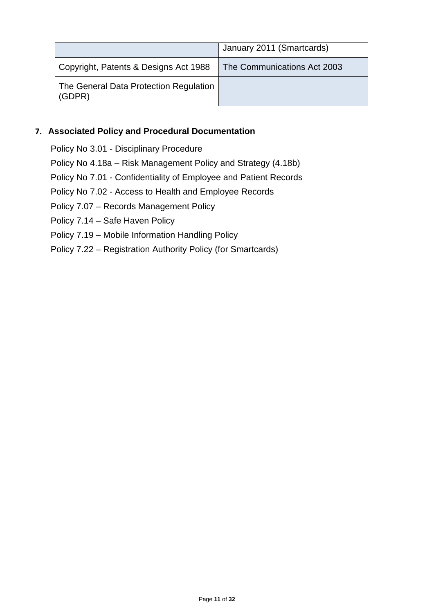|                                                  | January 2011 (Smartcards)   |
|--------------------------------------------------|-----------------------------|
| Copyright, Patents & Designs Act 1988            | The Communications Act 2003 |
| The General Data Protection Regulation<br>(GDPR) |                             |

#### **7. Associated Policy and Procedural Documentation**

Policy No 3.01 - Disciplinary Procedure Policy No 4.18a – Risk Management Policy and Strategy (4.18b) Policy No 7.01 - Confidentiality of Employee and Patient Records Policy No 7.02 - Access to Health and Employee Records Policy 7.07 – Records Management Policy Policy 7.14 – Safe Haven Policy Policy 7.19 – Mobile Information Handling Policy Policy 7.22 – Registration Authority Policy (for Smartcards)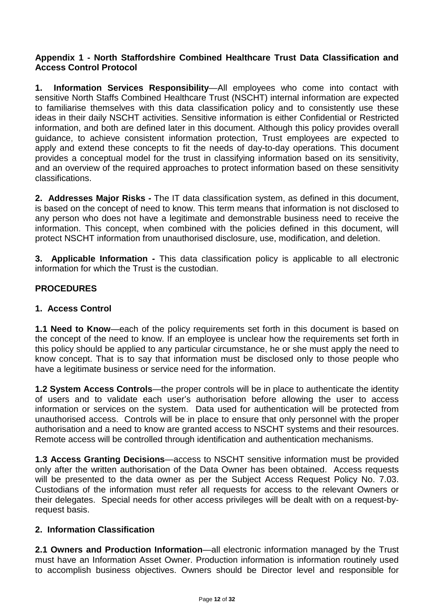#### **Appendix 1 - North Staffordshire Combined Healthcare Trust Data Classification and Access Control Protocol**

**1. Information Services Responsibility**—All employees who come into contact with sensitive North Staffs Combined Healthcare Trust (NSCHT) internal information are expected to familiarise themselves with this data classification policy and to consistently use these ideas in their daily NSCHT activities. Sensitive information is either Confidential or Restricted information, and both are defined later in this document. Although this policy provides overall guidance, to achieve consistent information protection, Trust employees are expected to apply and extend these concepts to fit the needs of day-to-day operations. This document provides a conceptual model for the trust in classifying information based on its sensitivity, and an overview of the required approaches to protect information based on these sensitivity classifications.

**2. Addresses Major Risks -** The IT data classification system, as defined in this document, is based on the concept of need to know. This term means that information is not disclosed to any person who does not have a legitimate and demonstrable business need to receive the information. This concept, when combined with the policies defined in this document, will protect NSCHT information from unauthorised disclosure, use, modification, and deletion.

**3. Applicable Information -** This data classification policy is applicable to all electronic information for which the Trust is the custodian.

## **PROCEDURES**

## **1. Access Control**

**1.1 Need to Know**—each of the policy requirements set forth in this document is based on the concept of the need to know. If an employee is unclear how the requirements set forth in this policy should be applied to any particular circumstance, he or she must apply the need to know concept. That is to say that information must be disclosed only to those people who have a legitimate business or service need for the information.

**1.2 System Access Controls**—the proper controls will be in place to authenticate the identity of users and to validate each user's authorisation before allowing the user to access information or services on the system. Data used for authentication will be protected from unauthorised access. Controls will be in place to ensure that only personnel with the proper authorisation and a need to know are granted access to NSCHT systems and their resources. Remote access will be controlled through identification and authentication mechanisms.

**1.3 Access Granting Decisions**—access to NSCHT sensitive information must be provided only after the written authorisation of the Data Owner has been obtained. Access requests will be presented to the data owner as per the Subject Access Request Policy No. 7.03. Custodians of the information must refer all requests for access to the relevant Owners or their delegates. Special needs for other access privileges will be dealt with on a request-byrequest basis.

#### **2. Information Classification**

**2.1 Owners and Production Information**—all electronic information managed by the Trust must have an Information Asset Owner. Production information is information routinely used to accomplish business objectives. Owners should be Director level and responsible for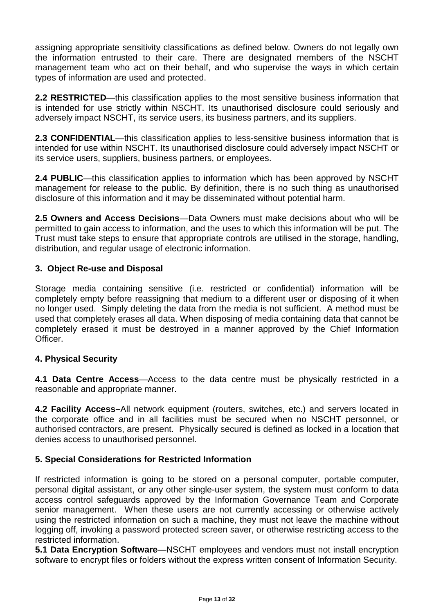assigning appropriate sensitivity classifications as defined below. Owners do not legally own the information entrusted to their care. There are designated members of the NSCHT management team who act on their behalf, and who supervise the ways in which certain types of information are used and protected.

**2.2 RESTRICTED**—this classification applies to the most sensitive business information that is intended for use strictly within NSCHT. Its unauthorised disclosure could seriously and adversely impact NSCHT, its service users, its business partners, and its suppliers.

**2.3 CONFIDENTIAL**—this classification applies to less-sensitive business information that is intended for use within NSCHT. Its unauthorised disclosure could adversely impact NSCHT or its service users, suppliers, business partners, or employees.

**2.4 PUBLIC**—this classification applies to information which has been approved by NSCHT management for release to the public. By definition, there is no such thing as unauthorised disclosure of this information and it may be disseminated without potential harm.

**2.5 Owners and Access Decisions**—Data Owners must make decisions about who will be permitted to gain access to information, and the uses to which this information will be put. The Trust must take steps to ensure that appropriate controls are utilised in the storage, handling, distribution, and regular usage of electronic information.

## **3. Object Re-use and Disposal**

Storage media containing sensitive (i.e. restricted or confidential) information will be completely empty before reassigning that medium to a different user or disposing of it when no longer used. Simply deleting the data from the media is not sufficient. A method must be used that completely erases all data. When disposing of media containing data that cannot be completely erased it must be destroyed in a manner approved by the Chief Information Officer.

#### **4. Physical Security**

**4.1 Data Centre Access**—Access to the data centre must be physically restricted in a reasonable and appropriate manner.

**4.2 Facility Access–**All network equipment (routers, switches, etc.) and servers located in the corporate office and in all facilities must be secured when no NSCHT personnel, or authorised contractors, are present. Physically secured is defined as locked in a location that denies access to unauthorised personnel.

#### **5. Special Considerations for Restricted Information**

If restricted information is going to be stored on a personal computer, portable computer, personal digital assistant, or any other single-user system, the system must conform to data access control safeguards approved by the Information Governance Team and Corporate senior management. When these users are not currently accessing or otherwise actively using the restricted information on such a machine, they must not leave the machine without logging off, invoking a password protected screen saver, or otherwise restricting access to the restricted information.

**5.1 Data Encryption Software**—NSCHT employees and vendors must not install encryption software to encrypt files or folders without the express written consent of Information Security.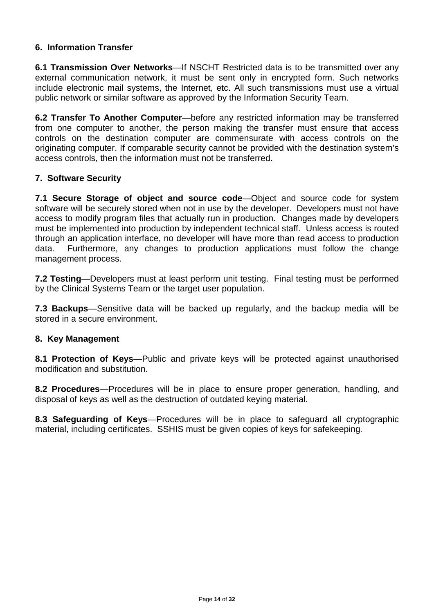## **6. Information Transfer**

**6.1 Transmission Over Networks**—If NSCHT Restricted data is to be transmitted over any external communication network, it must be sent only in encrypted form. Such networks include electronic mail systems, the Internet, etc. All such transmissions must use a virtual public network or similar software as approved by the Information Security Team.

**6.2 Transfer To Another Computer**—before any restricted information may be transferred from one computer to another, the person making the transfer must ensure that access controls on the destination computer are commensurate with access controls on the originating computer. If comparable security cannot be provided with the destination system's access controls, then the information must not be transferred.

## **7. Software Security**

**7.1 Secure Storage of object and source code—Object and source code for system** software will be securely stored when not in use by the developer. Developers must not have access to modify program files that actually run in production. Changes made by developers must be implemented into production by independent technical staff. Unless access is routed through an application interface, no developer will have more than read access to production data. Furthermore, any changes to production applications must follow the change management process.

**7.2 Testing**—Developers must at least perform unit testing. Final testing must be performed by the Clinical Systems Team or the target user population.

**7.3 Backups**—Sensitive data will be backed up regularly, and the backup media will be stored in a secure environment.

#### **8. Key Management**

**8.1 Protection of Keys**—Public and private keys will be protected against unauthorised modification and substitution.

**8.2 Procedures**—Procedures will be in place to ensure proper generation, handling, and disposal of keys as well as the destruction of outdated keying material.

**8.3 Safeguarding of Keys**—Procedures will be in place to safeguard all cryptographic material, including certificates. SSHIS must be given copies of keys for safekeeping.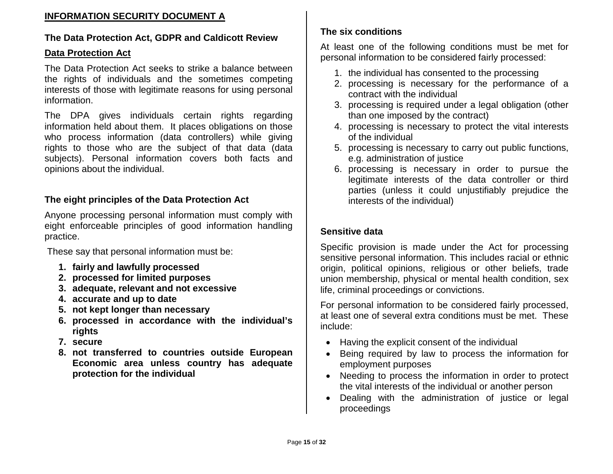## **INFORMATION SECURITY DOCUMENT A**

## **The Data Protection Act, GDPR and Caldicott Review**

#### **Data Protection Act**

The Data Protection Act seeks to strike a balance between the rights of individuals and the sometimes competing interests of those with legitimate reasons for using personal information.

The DPA gives individuals certain rights regarding information held about them. It places obligations on those who process information (data controllers) while giving rights to those who are the subject of that data (data subjects). Personal information covers both facts and opinions about the individual.

## **The eight principles of the Data Protection Act**

Anyone processing personal information must comply with eight enforceable principles of good information handling practice.

These say that personal information must be:

- **1. fairly and lawfully processed**
- **2. processed for limited purposes**
- **3. adequate, relevant and not excessive**
- **4. accurate and up to date**
- **5. not kept longer than necessary**
- **6. processed in accordance with the individual's rights**
- **7. secure**
- **8. not transferred to countries outside European Economic area unless country has adequate protection for the individual**

# **The six conditions**

At least one of the following conditions must be met for personal information to be considered fairly processed:

- 1. the individual has consented to the processing
- 2. processing is necessary for the performance of a contract with the individual
- 3. processing is required under a legal obligation (other than one imposed by the contract)
- 4. processing is necessary to protect the vital interests of the individual
- 5. processing is necessary to carry out public functions, e.g. administration of justice
- 6. processing is necessary in order to pursue the legitimate interests of the data controller or third parties (unless it could unjustifiably prejudice the interests of the individual)

# **Sensitive data**

Specific provision is made under the Act for processing sensitive personal information. This includes racial or ethnic origin, political opinions, religious or other beliefs, trade union membership, physical or mental health condition, sex life, criminal proceedings or convictions.

For personal information to be considered fairly processed, at least one of several extra conditions must be met. These include:

- Having the explicit consent of the individual
- Being required by law to process the information for employment purposes
- Needing to process the information in order to protect the vital interests of the individual or another person
- Dealing with the administration of justice or legal proceedings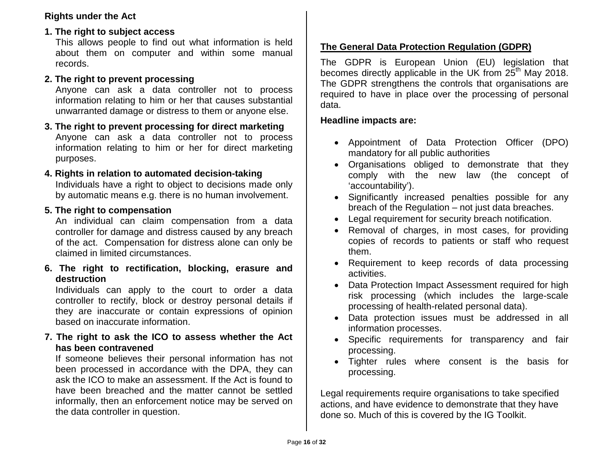## **Rights under the Act**

# **1. The right to subject access**

This allows people to find out what information is held about them on computer and within some manual records.

# **2. The right to prevent processing**

Anyone can ask a data controller not to process information relating to him or her that causes substantial unwarranted damage or distress to them or anyone else.

#### **3. The right to prevent processing for direct marketing**  Anyone can ask a data controller not to process information relating to him or her for direct marketing purposes.

#### **4. Rights in relation to automated decision-taking**  Individuals have a right to object to decisions made only

by automatic means e.g. there is no human involvement.

# **5. The right to compensation**

An individual can claim compensation from a data controller for damage and distress caused by any breach of the act. Compensation for distress alone can only be claimed in limited circumstances.

**6. The right to rectification, blocking, erasure and destruction** 

Individuals can apply to the court to order a data controller to rectify, block or destroy personal details if they are inaccurate or contain expressions of opinion based on inaccurate information.

## **7. The right to ask the ICO to assess whether the Act has been contravened**

If someone believes their personal information has not been processed in accordance with the DPA, they can ask the ICO to make an assessment. If the Act is found to have been breached and the matter cannot be settled informally, then an enforcement notice may be served on the data controller in question.

# **The General Data Protection Regulation (GDPR)**

The GDPR is European Union (EU) legislation that becomes directly applicable in the UK from 25<sup>th</sup> May 2018. The GDPR strengthens the controls that organisations are required to have in place over the processing of personal data.

# **Headline impacts are:**

- Appointment of Data Protection Officer (DPO) mandatory for all public authorities
- Organisations obliged to demonstrate that they comply with the new law (the concept of 'accountability').
- Significantly increased penalties possible for any breach of the Regulation – not just data breaches.
- Legal requirement for security breach notification.
- Removal of charges, in most cases, for providing copies of records to patients or staff who request them.
- Requirement to keep records of data processing activities.
- Data Protection Impact Assessment required for high risk processing (which includes the large-scale processing of health-related personal data).
- Data protection issues must be addressed in all information processes.
- Specific requirements for transparency and fair processing.
- Tighter rules where consent is the basis for processing.

Legal requirements require organisations to take specified actions, and have evidence to demonstrate that they have done so. Much of this is covered by the IG Toolkit.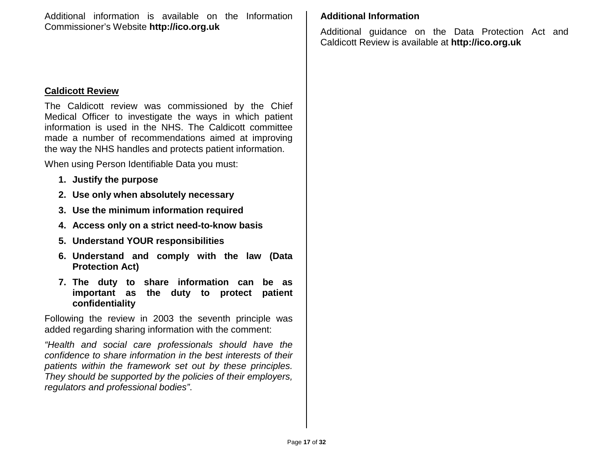Additional information is available on the Information Commissioner's Website **http://ico.org.uk**

## **Caldicott Review**

The Caldicott review was commissioned by the Chief Medical Officer to investigate the ways in which patient information is used in the NHS. The Caldicott committee made a number of recommendations aimed at improving the way the NHS handles and protects patient information.

When using Person Identifiable Data you must:

- **1. Justify the purpose**
- **2. Use only when absolutely necessary**
- **3. Use the minimum information required**
- **4. Access only on a strict need-to-know basis**
- **5. Understand YOUR responsibilities**
- **6. Understand and comply with the law (Data Protection Act)**
- **7. The duty to share information can be as important as the duty to protect patient confidentiality**

Following the review in 2003 the seventh principle was added regarding sharing information with the comment:

*"Health and social care professionals should have the confidence to share information in the best interests of their patients within the framework set out by these principles. They should be supported by the policies of their employers, regulators and professional bodies"*.

## **Additional Information**

Additional guidance on the Data Protection Act and Caldicott Review is available at **http://ico.org.uk**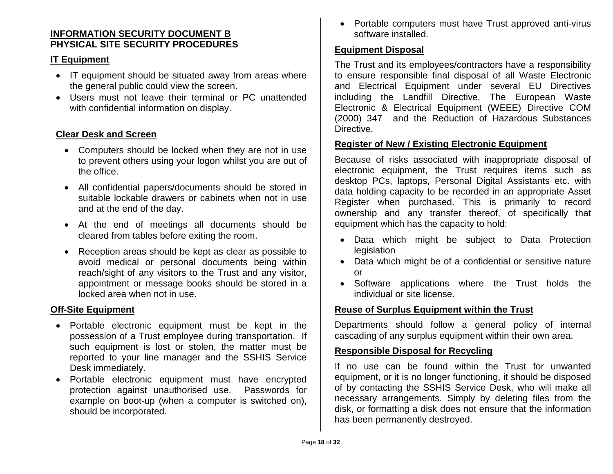#### **INFORMATION SECURITY DOCUMENT B PHYSICAL SITE SECURITY PROCEDURES**

## **IT Equipment**

- IT equipment should be situated away from areas where the general public could view the screen.
- Users must not leave their terminal or PC unattended with confidential information on display.

## **Clear Desk and Screen**

- Computers should be locked when they are not in use to prevent others using your logon whilst you are out of the office.
- All confidential papers/documents should be stored in suitable lockable drawers or cabinets when not in use and at the end of the day.
- At the end of meetings all documents should be cleared from tables before exiting the room.
- Reception areas should be kept as clear as possible to avoid medical or personal documents being within reach/sight of any visitors to the Trust and any visitor, appointment or message books should be stored in a locked area when not in use.

#### **Off-Site Equipment**

- Portable electronic equipment must be kept in the possession of a Trust employee during transportation. If such equipment is lost or stolen, the matter must be reported to your line manager and the SSHIS Service Desk immediately.
- Portable electronic equipment must have encrypted protection against unauthorised use. Passwords for example on boot-up (when a computer is switched on), should be incorporated.

• Portable computers must have Trust approved anti-virus software installed.

## **Equipment Disposal**

The Trust and its employees/contractors have a responsibility to ensure responsible final disposal of all Waste Electronic and Electrical Equipment under several EU Directives including the Landfill Directive, The European Waste Electronic & Electrical Equipment (WEEE) Directive COM (2000) 347 and the Reduction of Hazardous Substances Directive.

#### **Register of New / Existing Electronic Equipment**

Because of risks associated with inappropriate disposal of electronic equipment, the Trust requires items such as desktop PCs, laptops, Personal Digital Assistants etc. with data holding capacity to be recorded in an appropriate Asset Register when purchased. This is primarily to record ownership and any transfer thereof, of specifically that equipment which has the capacity to hold:

- Data which might be subject to Data Protection legislation
- Data which might be of a confidential or sensitive nature or
- Software applications where the Trust holds the individual or site license.

#### **Reuse of Surplus Equipment within the Trust**

Departments should follow a general policy of internal cascading of any surplus equipment within their own area.

#### **Responsible Disposal for Recycling**

If no use can be found within the Trust for unwanted equipment, or it is no longer functioning, it should be disposed of by contacting the SSHIS Service Desk, who will make all necessary arrangements. Simply by deleting files from the disk, or formatting a disk does not ensure that the information has been permanently destroyed.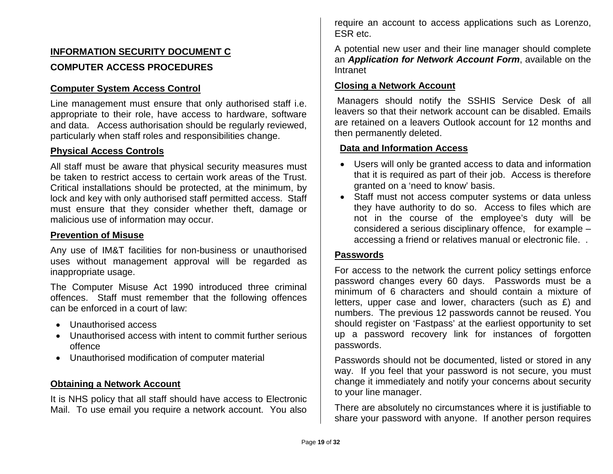# **INFORMATION SECURITY DOCUMENT C COMPUTER ACCESS PROCEDURES**

#### **Computer System Access Control**

Line management must ensure that only authorised staff i.e. appropriate to their role, have access to hardware, software and data. Access authorisation should be regularly reviewed, particularly when staff roles and responsibilities change.

#### **Physical Access Controls**

All staff must be aware that physical security measures must be taken to restrict access to certain work areas of the Trust. Critical installations should be protected, at the minimum, by lock and key with only authorised staff permitted access. Staff must ensure that they consider whether theft, damage or malicious use of information may occur.

#### **Prevention of Misuse**

Any use of IM&T facilities for non-business or unauthorised uses without management approval will be regarded as inappropriate usage.

The Computer Misuse Act 1990 introduced three criminal offences. Staff must remember that the following offences can be enforced in a court of law:

- Unauthorised access
- Unauthorised access with intent to commit further serious offence
- Unauthorised modification of computer material

#### **Obtaining a Network Account**

It is NHS policy that all staff should have access to Electronic Mail. To use email you require a network account. You also require an account to access applications such as Lorenzo, ESR etc.

A potential new user and their line manager should complete an *Application for Network Account Form*, available on the Intranet

#### **Closing a Network Account**

Managers should notify the SSHIS Service Desk of all leavers so that their network account can be disabled. Emails are retained on a leavers Outlook account for 12 months and then permanently deleted.

#### **Data and Information Access**

- Users will only be granted access to data and information that it is required as part of their job. Access is therefore granted on a 'need to know' basis.
- Staff must not access computer systems or data unless they have authority to do so. Access to files which are not in the course of the employee's duty will be considered a serious disciplinary offence, for example – accessing a friend or relatives manual or electronic file. .

#### **Passwords**

For access to the network the current policy settings enforce password changes every 60 days. Passwords must be a minimum of 6 characters and should contain a mixture of letters, upper case and lower, characters (such as £) and numbers. The previous 12 passwords cannot be reused. You should register on 'Fastpass' at the earliest opportunity to set up a password recovery link for instances of forgotten passwords.

Passwords should not be documented, listed or stored in any way. If you feel that your password is not secure, you must change it immediately and notify your concerns about security to your line manager.

There are absolutely no circumstances where it is justifiable to share your password with anyone. If another person requires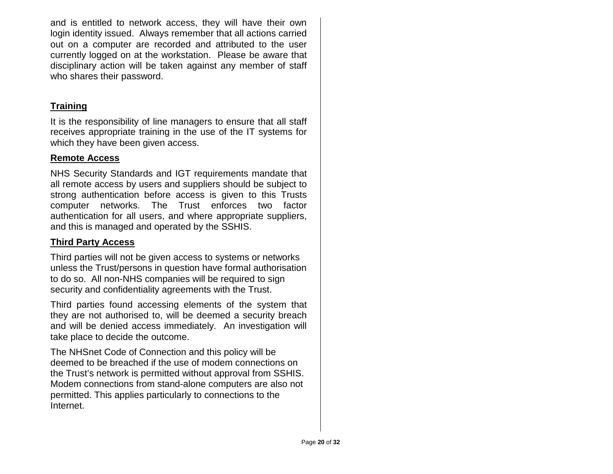and is entitled to network access, they will have their own login identity issued. Always remember that all actions carried out on a computer are recorded and attributed to the user currently logged on at the workstation. Please be aware that disciplinary action will be taken against any member of staff who shares their password.

## **Training**

It is the responsibility of line managers to ensure that all staff receives appropriate training in the use of the IT systems for which they have been given access.

#### **Remote Access**

NHS Security Standards and IGT requirements mandate that all remote access by users and suppliers should be subject to strong authentication before access is given to this Trusts computer networks. The Trust enforces two factor authentication for all users, and where appropriate suppliers, and this is managed and operated by the SSHIS.

## **Third Party Access**

Third parties will not be given access to systems or networks unless the Trust/persons in question have formal authorisation to do so. All non-NHS companies will be required to sign security and confidentiality agreements with the Trust.

Third parties found accessing elements of the system that they are not authorised to, will be deemed a security breach and will be denied access immediately. An investigation will take place to decide the outcome.

The NHSnet Code of Connection and this policy will be deemed to be breached if the use of modem connections on the Trust's network is permitted without approval from SSHIS. Modem connections from stand-alone computers are also not permitted. This applies particularly to connections to the Internet.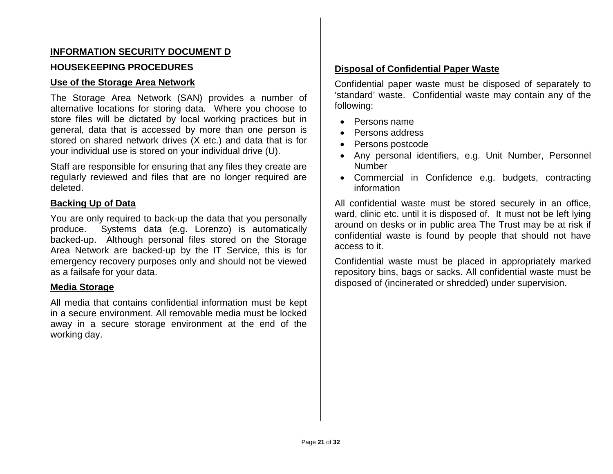## **INFORMATION SECURITY DOCUMENT D**

#### **HOUSEKEEPING PROCEDURES**

#### **Use of the Storage Area Network**

The Storage Area Network (SAN) provides a number of alternative locations for storing data. Where you choose to store files will be dictated by local working practices but in general, data that is accessed by more than one person is stored on shared network drives (X etc.) and data that is for your individual use is stored on your individual drive (U).

Staff are responsible for ensuring that any files they create are regularly reviewed and files that are no longer required are deleted.

#### **Backing Up of Data**

You are only required to back-up the data that you personally produce. Systems data (e.g. Lorenzo) is automatically backed-up. Although personal files stored on the Storage Area Network are backed-up by the IT Service, this is for emergency recovery purposes only and should not be viewed as a failsafe for your data.

#### **Media Storage**

All media that contains confidential information must be kept in a secure environment. All removable media must be locked away in a secure storage environment at the end of the working day.

## **Disposal of Confidential Paper Waste**

Confidential paper waste must be disposed of separately to 'standard' waste. Confidential waste may contain any of the following:

- Persons name
- Persons address
- Persons postcode
- Any personal identifiers, e.g. Unit Number, Personnel Number
- Commercial in Confidence e.g. budgets, contracting information

All confidential waste must be stored securely in an office, ward, clinic etc. until it is disposed of. It must not be left lying around on desks or in public area The Trust may be at risk if confidential waste is found by people that should not have access to it.

Confidential waste must be placed in appropriately marked repository bins, bags or sacks. All confidential waste must be disposed of (incinerated or shredded) under supervision.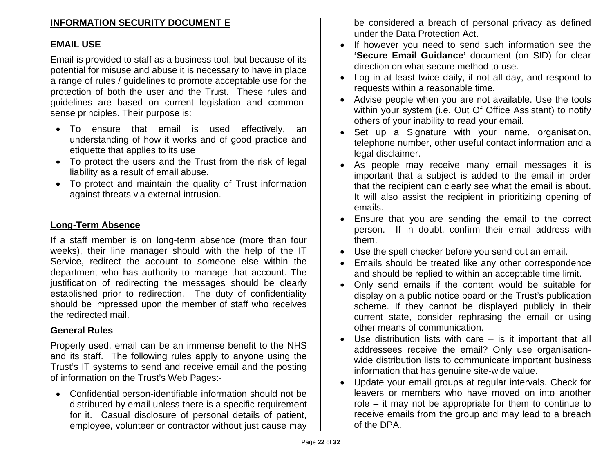## **INFORMATION SECURITY DOCUMENT E**

#### **EMAIL USE**

Email is provided to staff as a business tool, but because of its potential for misuse and abuse it is necessary to have in place a range of rules / guidelines to promote acceptable use for the protection of both the user and the Trust. These rules and guidelines are based on current legislation and commonsense principles. Their purpose is:

- To ensure that email is used effectively, an understanding of how it works and of good practice and etiquette that applies to its use
- To protect the users and the Trust from the risk of legal liability as a result of email abuse.
- To protect and maintain the quality of Trust information against threats via external intrusion.

#### **Long-Term Absence**

If a staff member is on long-term absence (more than four weeks), their line manager should with the help of the IT Service, redirect the account to someone else within the department who has authority to manage that account. The justification of redirecting the messages should be clearly established prior to redirection. The duty of confidentiality should be impressed upon the member of staff who receives the redirected mail.

#### **General Rules**

Properly used, email can be an immense benefit to the NHS and its staff. The following rules apply to anyone using the Trust's IT systems to send and receive email and the posting of information on the Trust's Web Pages:-

• Confidential person-identifiable information should not be distributed by email unless there is a specific requirement for it. Casual disclosure of personal details of patient, employee, volunteer or contractor without just cause may

be considered a breach of personal privacy as defined under the Data Protection Act.

- If however you need to send such information see the **'Secure Email Guidance'** document (on SID) for clear direction on what secure method to use.
- Log in at least twice daily, if not all day, and respond to requests within a reasonable time.
- Advise people when you are not available. Use the tools within your system (i.e. Out Of Office Assistant) to notify others of your inability to read your email.
- Set up a Signature with your name, organisation, telephone number, other useful contact information and a legal disclaimer.
- As people may receive many email messages it is important that a subject is added to the email in order that the recipient can clearly see what the email is about. It will also assist the recipient in prioritizing opening of emails.
- Ensure that you are sending the email to the correct person. If in doubt, confirm their email address with them.
- Use the spell checker before you send out an email.
- Emails should be treated like any other correspondence and should be replied to within an acceptable time limit.
- Only send emails if the content would be suitable for display on a public notice board or the Trust's publication scheme. If they cannot be displayed publicly in their current state, consider rephrasing the email or using other means of communication.
- Use distribution lists with care is it important that all addressees receive the email? Only use organisationwide distribution lists to communicate important business information that has genuine site-wide value.
- Update your email groups at regular intervals. Check for leavers or members who have moved on into another role – it may not be appropriate for them to continue to receive emails from the group and may lead to a breach of the DPA.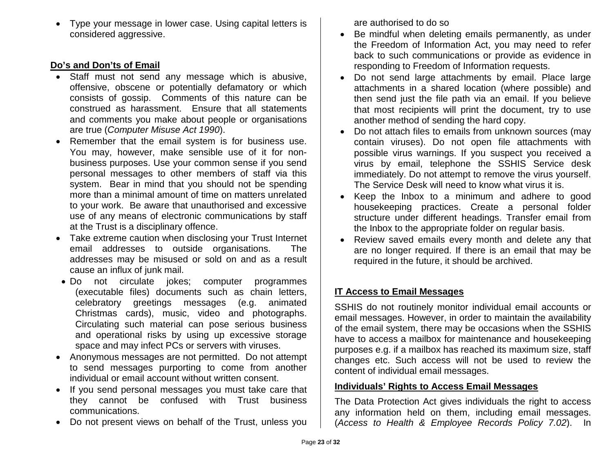• Type your message in lower case. Using capital letters is considered aggressive.

## **Do's and Don'ts of Email**

- Staff must not send any message which is abusive, offensive, obscene or potentially defamatory or which consists of gossip. Comments of this nature can be construed as harassment. Ensure that all statements and comments you make about people or organisations are true (*Computer Misuse Act 1990*).
- Remember that the email system is for business use. You may, however, make sensible use of it for nonbusiness purposes. Use your common sense if you send personal messages to other members of staff via this system. Bear in mind that you should not be spending more than a minimal amount of time on matters unrelated to your work. Be aware that unauthorised and excessive use of any means of electronic communications by staff at the Trust is a disciplinary offence.
- Take extreme caution when disclosing your Trust Internet email addresses to outside organisations. The addresses may be misused or sold on and as a result cause an influx of junk mail.
- Do not circulate jokes; computer programmes (executable files) documents such as chain letters, celebratory greetings messages (e.g. animated Christmas cards), music, video and photographs. Circulating such material can pose serious business and operational risks by using up excessive storage space and may infect PCs or servers with viruses.
- Anonymous messages are not permitted. Do not attempt to send messages purporting to come from another individual or email account without written consent.
- If you send personal messages you must take care that they cannot be confused with Trust business communications.
- Do not present views on behalf of the Trust, unless you

are authorised to do so

- Be mindful when deleting emails permanently, as under the Freedom of Information Act, you may need to refer back to such communications or provide as evidence in responding to Freedom of Information requests.
- Do not send large attachments by email. Place large attachments in a shared location (where possible) and then send just the file path via an email. If you believe that most recipients will print the document, try to use another method of sending the hard copy.
- Do not attach files to emails from unknown sources (may contain viruses). Do not open file attachments with possible virus warnings. If you suspect you received a virus by email, telephone the SSHIS Service desk immediately. Do not attempt to remove the virus yourself. The Service Desk will need to know what virus it is.
- Keep the Inbox to a minimum and adhere to good housekeeping practices. Create a personal folder structure under different headings. Transfer email from the Inbox to the appropriate folder on regular basis.
- Review saved emails every month and delete any that are no longer required. If there is an email that may be required in the future, it should be archived.

# **IT Access to Email Messages**

SSHIS do not routinely monitor individual email accounts or email messages. However, in order to maintain the availability of the email system, there may be occasions when the SSHIS have to access a mailbox for maintenance and housekeeping purposes e.g. if a mailbox has reached its maximum size, staff changes etc. Such access will not be used to review the content of individual email messages.

## **Individuals' Rights to Access Email Messages**

The Data Protection Act gives individuals the right to access any information held on them, including email messages. (*Access to Health & Employee Records Policy 7.02*). In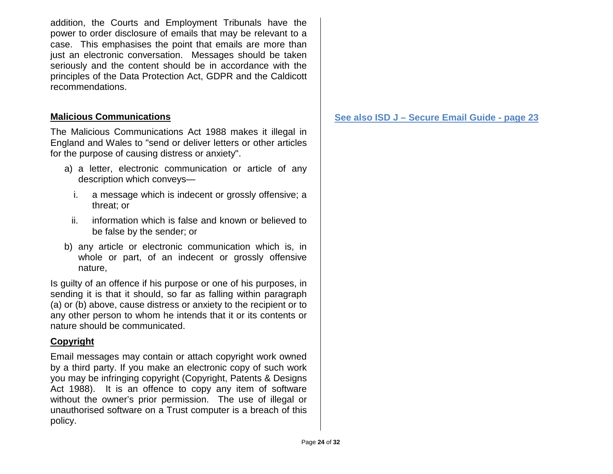addition, the Courts and Employment Tribunals have the power to order disclosure of emails that may be relevant to a case. This emphasises the point that emails are more than just an electronic conversation. Messages should be taken seriously and the content should be in accordance with the principles of the Data Protection Act, GDPR and the Caldicott recommendations.

## **Malicious Communications**

The Malicious Communications Act 1988 makes it illegal in England and Wales to "send or deliver letters or other articles for the purpose of causing distress or anxiety".

- a) a letter, electronic communication or article of any description which conveys
	- i. a message which is indecent or grossly offensive; a threat; or
	- ii. information which is false and known or believed to be false by the sender; or
- b) any article or electronic communication which is, in whole or part, of an indecent or grossly offensive nature,

Is guilty of an offence if his purpose or one of his purposes, in sending it is that it should, so far as falling within paragraph (a) or (b) above, cause distress or anxiety to the recipient or to any other person to whom he intends that it or its contents or nature should be communicated.

## **Copyright**

Email messages may contain or attach copyright work owned by a third party. If you make an electronic copy of such work you may be infringing copyright (Copyright, Patents & Designs Act 1988). It is an offence to copy any item of software without the owner's prior permission. The use of illegal or unauthorised software on a Trust computer is a breach of this policy.

**See also ISD J – Secure Email Guide - page 23**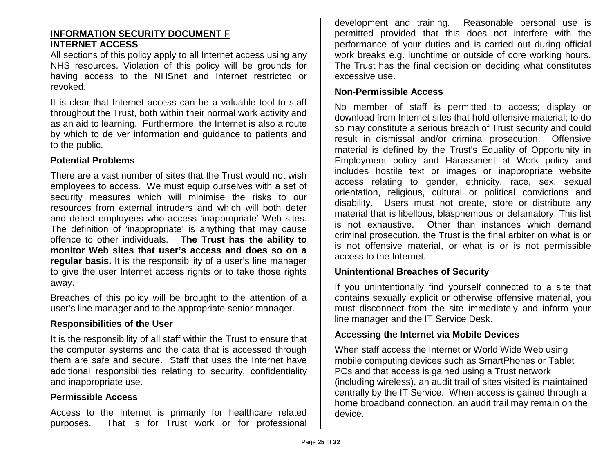#### **INFORMATION SECURITY DOCUMENT F INTERNET ACCESS**

All sections of this policy apply to all Internet access using any NHS resources. Violation of this policy will be grounds for having access to the NHSnet and Internet restricted or revoked.

It is clear that Internet access can be a valuable tool to staff throughout the Trust, both within their normal work activity and as an aid to learning. Furthermore, the Internet is also a route by which to deliver information and guidance to patients and to the public.

#### **Potential Problems**

There are a vast number of sites that the Trust would not wish employees to access. We must equip ourselves with a set of security measures which will minimise the risks to our resources from external intruders and which will both deter and detect employees who access 'inappropriate' Web sites. The definition of 'inappropriate' is anything that may cause offence to other individuals. **The Trust has the ability to monitor Web sites that user's access and does so on a regular basis.** It is the responsibility of a user's line manager to give the user Internet access rights or to take those rights away.

Breaches of this policy will be brought to the attention of a user's line manager and to the appropriate senior manager.

#### **Responsibilities of the User**

It is the responsibility of all staff within the Trust to ensure that the computer systems and the data that is accessed through them are safe and secure. Staff that uses the Internet have additional responsibilities relating to security, confidentiality and inappropriate use.

#### **Permissible Access**

Access to the Internet is primarily for healthcare related purposes. That is for Trust work or for professional development and training. Reasonable personal use is permitted provided that this does not interfere with the performance of your duties and is carried out during official work breaks e.g. lunchtime or outside of core working hours. The Trust has the final decision on deciding what constitutes excessive use.

#### **Non-Permissible Access**

No member of staff is permitted to access; display or download from Internet sites that hold offensive material; to do so may constitute a serious breach of Trust security and could result in dismissal and/or criminal prosecution. Offensive material is defined by the Trust's Equality of Opportunity in Employment policy and Harassment at Work policy and includes hostile text or images or inappropriate website access relating to gender, ethnicity, race, sex, sexual orientation, religious, cultural or political convictions and disability. Users must not create, store or distribute any material that is libellous, blasphemous or defamatory. This list is not exhaustive. Other than instances which demand criminal prosecution, the Trust is the final arbiter on what is or is not offensive material, or what is or is not permissible access to the Internet.

#### **Unintentional Breaches of Security**

If you unintentionally find yourself connected to a site that contains sexually explicit or otherwise offensive material, you must disconnect from the site immediately and inform your line manager and the IT Service Desk.

#### **Accessing the Internet via Mobile Devices**

When staff access the Internet or World Wide Web using mobile computing devices such as SmartPhones or Tablet PCs and that access is gained using a Trust network (including wireless), an audit trail of sites visited is maintained centrally by the IT Service. When access is gained through a home broadband connection, an audit trail may remain on the device.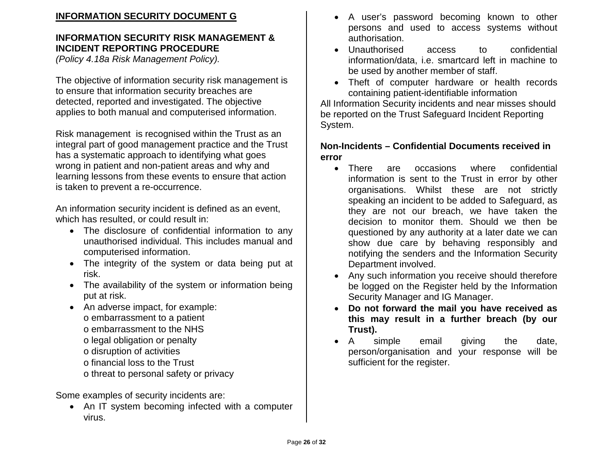# **INFORMATION SECURITY DOCUMENT G**

# **INFORMATION SECURITY RISK MANAGEMENT & INCIDENT REPORTING PROCEDURE**

*(Policy 4.18a Risk Management Policy).*

The objective of information security risk management is to ensure that information security breaches are detected, reported and investigated. The objective applies to both manual and computerised information.

Risk management is recognised within the Trust as an integral part of good management practice and the Trust has a systematic approach to identifying what goes wrong in patient and non-patient areas and why and learning lessons from these events to ensure that action is taken to prevent a re-occurrence.

An information security incident is defined as an event, which has resulted, or could result in:

- The disclosure of confidential information to any unauthorised individual. This includes manual and computerised information.
- The integrity of the system or data being put at risk.
- The availability of the system or information being put at risk.
- An adverse impact, for example: o embarrassment to a patient o embarrassment to the NHS o legal obligation or penalty o disruption of activities o financial loss to the Trust o threat to personal safety or privacy

Some examples of security incidents are:

• An IT system becoming infected with a computer virus.

- A user's password becoming known to other persons and used to access systems without authorisation.
- Unauthorised access to confidential information/data, i.e. smartcard left in machine to be used by another member of staff.
- Theft of computer hardware or health records containing patient-identifiable information

All Information Security incidents and near misses should be reported on the Trust Safeguard Incident Reporting System.

#### **Non-Incidents – Confidential Documents received in error**

- There are occasions where confidential information is sent to the Trust in error by other organisations. Whilst these are not strictly speaking an incident to be added to Safeguard, as they are not our breach, we have taken the decision to monitor them. Should we then be questioned by any authority at a later date we can show due care by behaving responsibly and notifying the senders and the Information Security Department involved.
- Any such information you receive should therefore be logged on the Register held by the Information Security Manager and IG Manager.
- **Do not forward the mail you have received as this may result in a further breach (by our Trust).**
- A simple email giving the date, person/organisation and your response will be sufficient for the register.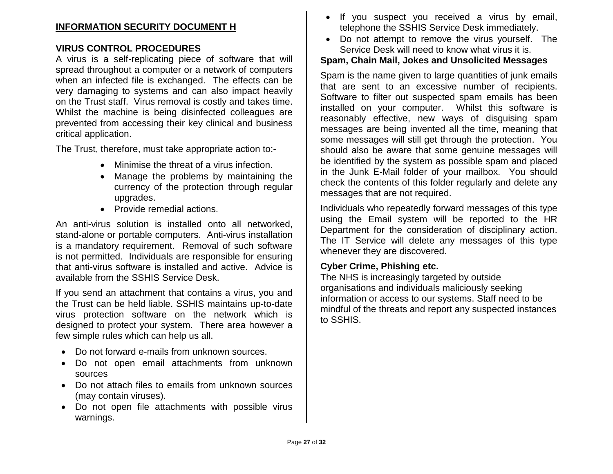## **INFORMATION SECURITY DOCUMENT H**

#### **VIRUS CONTROL PROCEDURES**

A virus is a self-replicating piece of software that will spread throughout a computer or a network of computers when an infected file is exchanged. The effects can be very damaging to systems and can also impact heavily on the Trust staff. Virus removal is costly and takes time. Whilst the machine is being disinfected colleagues are prevented from accessing their key clinical and business critical application.

The Trust, therefore, must take appropriate action to:-

- Minimise the threat of a virus infection.
- Manage the problems by maintaining the currency of the protection through regular upgrades.
- Provide remedial actions.

An anti-virus solution is installed onto all networked, stand-alone or portable computers. Anti-virus installation is a mandatory requirement. Removal of such software is not permitted. Individuals are responsible for ensuring that anti-virus software is installed and active. Advice is available from the SSHIS Service Desk.

If you send an attachment that contains a virus, you and the Trust can be held liable. SSHIS maintains up-to-date virus protection software on the network which is designed to protect your system. There area however a few simple rules which can help us all.

- Do not forward e-mails from unknown sources.
- Do not open email attachments from unknown sources
- Do not attach files to emails from unknown sources (may contain viruses).
- Do not open file attachments with possible virus warnings.
- If you suspect you received a virus by email, telephone the SSHIS Service Desk immediately.
- Do not attempt to remove the virus yourself. The Service Desk will need to know what virus it is.

#### **Spam, Chain Mail, Jokes and Unsolicited Messages**

Spam is the name given to large quantities of junk emails that are sent to an excessive number of recipients. Software to filter out suspected spam emails has been installed on your computer. Whilst this software is reasonably effective, new ways of disguising spam messages are being invented all the time, meaning that some messages will still get through the protection. You should also be aware that some genuine messages will be identified by the system as possible spam and placed in the Junk E-Mail folder of your mailbox. You should check the contents of this folder regularly and delete any messages that are not required.

Individuals who repeatedly forward messages of this type using the Email system will be reported to the HR Department for the consideration of disciplinary action. The IT Service will delete any messages of this type whenever they are discovered.

#### **Cyber Crime, Phishing etc.**

The NHS is increasingly targeted by outside organisations and individuals maliciously seeking information or access to our systems. Staff need to be mindful of the threats and report any suspected instances to SSHIS.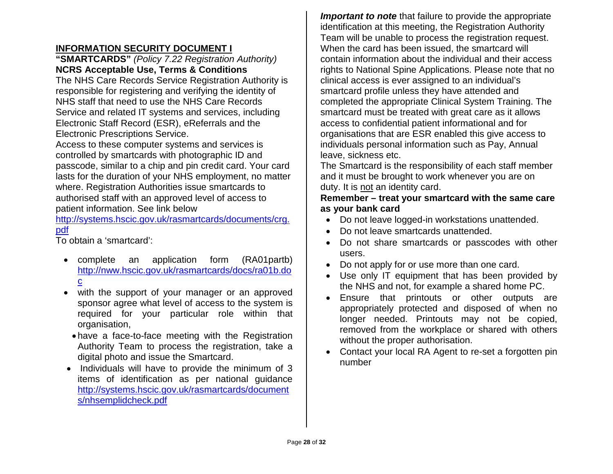## **INFORMATION SECURITY DOCUMENT I**

#### **"SMARTCARDS"** *(Policy 7.22 Registration Authority)* **NCRS Acceptable Use, Terms & Conditions**

The NHS Care Records Service Registration Authority is responsible for registering and verifying the identity of NHS staff that need to use the NHS Care Records Service and related IT systems and services, including Electronic Staff Record (ESR), eReferrals and the Electronic Prescriptions Service.

Access to these computer systems and services is controlled by smartcards with photographic ID and passcode, similar to a chip and pin credit card. Your card lasts for the duration of your NHS employment, no matter where. Registration Authorities issue smartcards to authorised staff with an approved level of access to patient information. See link below

[http://systems.hscic.gov.uk/rasmartcards/documents/crg.](http://systems.hscic.gov.uk/rasmartcards/documents/crg.pdf) [pdf](http://systems.hscic.gov.uk/rasmartcards/documents/crg.pdf)

To obtain a 'smartcard':

- complete an application form (RA01partb) [http://nww.hscic.gov.uk/rasmartcards/docs/ra01b.do](http://nww.hscic.gov.uk/rasmartcards/docs/ra01b.doc) [c](http://nww.hscic.gov.uk/rasmartcards/docs/ra01b.doc)
- with the support of your manager or an approved sponsor agree what level of access to the system is required for your particular role within that organisation,
	- have a face-to-face meeting with the Registration Authority Team to process the registration, take a digital photo and issue the Smartcard.
- Individuals will have to provide the minimum of 3 items of identification as per national guidance [http://systems.hscic.gov.uk/rasmartcards/document](http://systems.hscic.gov.uk/rasmartcards/documents/nhsemplidcheck.pdf) [s/nhsemplidcheck.pdf](http://systems.hscic.gov.uk/rasmartcards/documents/nhsemplidcheck.pdf)

*Important to note* that failure to provide the appropriate identification at this meeting, the Registration Authority Team will be unable to process the registration request. When the card has been issued, the smartcard will contain information about the individual and their access rights to National Spine Applications. Please note that no clinical access is ever assigned to an individual's smartcard profile unless they have attended and completed the appropriate Clinical System Training. The smartcard must be treated with great care as it allows access to confidential patient informational and for organisations that are ESR enabled this give access to individuals personal information such as Pay, Annual leave, sickness etc.

The Smartcard is the responsibility of each staff member and it must be brought to work whenever you are on duty. It is not an identity card.

#### **Remember – treat your smartcard with the same care as your bank card**

- Do not leave logged-in workstations unattended.
- Do not leave smartcards unattended.
- Do not share smartcards or passcodes with other users.
- Do not apply for or use more than one card.
- Use only IT equipment that has been provided by the NHS and not, for example a shared home PC.
- Ensure that printouts or other outputs are appropriately protected and disposed of when no longer needed. Printouts may not be copied, removed from the workplace or shared with others without the proper authorisation.
- Contact your local RA Agent to re-set a forgotten pin number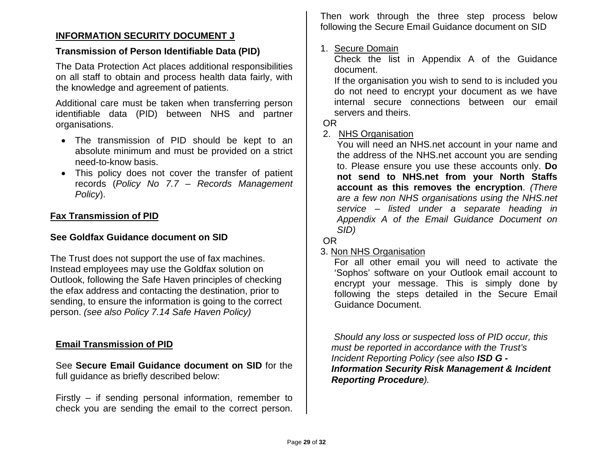#### **INFORMATION SECURITY DOCUMENT J**

#### **Transmission of Person Identifiable Data (PID)**

The Data Protection Act places additional responsibilities on all staff to obtain and process health data fairly, with the knowledge and agreement of patients.

Additional care must be taken when transferring person identifiable data (PID) between NHS and partner organisations.

- The transmission of PID should be kept to an absolute minimum and must be provided on a strict need-to-know basis.
- This policy does not cover the transfer of patient records (*Policy No 7.7 – Records Management Policy*).

#### **Fax Transmission of PID**

#### **See Goldfax Guidance document on SID**

The Trust does not support the use of fax machines. Instead employees may use the Goldfax solution on Outlook, following the Safe Haven principles of checking the efax address and contacting the destination, prior to sending, to ensure the information is going to the correct person. *(see also Policy 7.14 Safe Haven Policy)*

#### **Email Transmission of PID**

See **Secure Email Guidance document on SID** for the full guidance as briefly described below:

Firstly – if sending personal information, remember to check you are sending the email to the correct person. Then work through the three step process below following the Secure Email Guidance document on SID

#### 1. Secure Domain

Check the list in Appendix A of the Guidance document.

If the organisation you wish to send to is included you do not need to encrypt your document as we have internal secure connections between our email servers and theirs.

#### OR

#### 2. NHS Organisation

You will need an NHS.net account in your name and the address of the NHS.net account you are sending to. Please ensure you use these accounts only. **Do not send to NHS.net from your North Staffs account as this removes the encryption**. *(There are a few non NHS organisations using the NHS.net service – listed under a separate heading in Appendix A of the Email Guidance Document on SID)*

#### OR

#### 3. Non NHS Organisation

For all other email you will need to activate the 'Sophos' software on your Outlook email account to encrypt your message. This is simply done by following the steps detailed in the Secure Email Guidance Document.

*Should any loss or suspected loss of PID occur, this must be reported in accordance with the Trust's Incident Reporting Policy (see also ISD G - Information Security Risk Management & Incident Reporting Procedure).*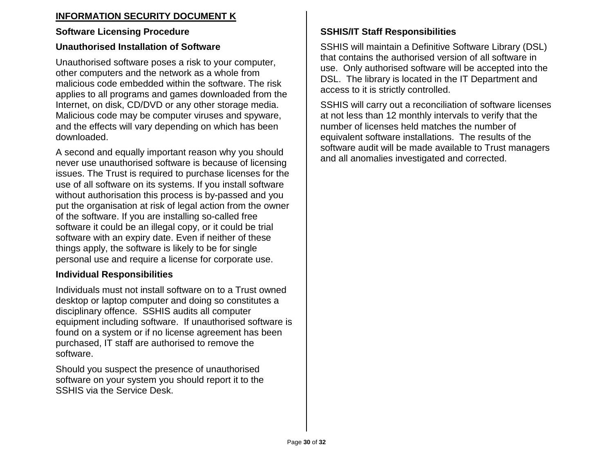# **INFORMATION SECURITY DOCUMENT K**

## **Software Licensing Procedure**

## **Unauthorised Installation of Software**

Unauthorised software poses a risk to your computer, other computers and the network as a whole from malicious code embedded within the software. The risk applies to all programs and games downloaded from the Internet, on disk, CD/DVD or any other storage media. Malicious code may be computer viruses and spyware, and the effects will vary depending on which has been downloaded.

A second and equally important reason why you should never use unauthorised software is because of licensing issues. The Trust is required to purchase licenses for the use of all software on its systems. If you install software without authorisation this process is by-passed and you put the organisation at risk of legal action from the owner of the software. If you are installing so-called free software it could be an illegal copy, or it could be trial software with an expiry date. Even if neither of these things apply, the software is likely to be for single personal use and require a license for corporate use.

## **Individual Responsibilities**

Individuals must not install software on to a Trust owned desktop or laptop computer and doing so constitutes a disciplinary offence. SSHIS audits all computer equipment including software. If unauthorised software is found on a system or if no license agreement has been purchased, IT staff are authorised to remove the software.

Should you suspect the presence of unauthorised software on your system you should report it to the SSHIS via the Service Desk.

# **SSHIS/IT Staff Responsibilities**

SSHIS will maintain a Definitive Software Library (DSL) that contains the authorised version of all software in use. Only authorised software will be accepted into the DSL. The library is located in the IT Department and access to it is strictly controlled.

SSHIS will carry out a reconciliation of software licenses at not less than 12 monthly intervals to verify that the number of licenses held matches the number of equivalent software installations. The results of the software audit will be made available to Trust managers and all anomalies investigated and corrected.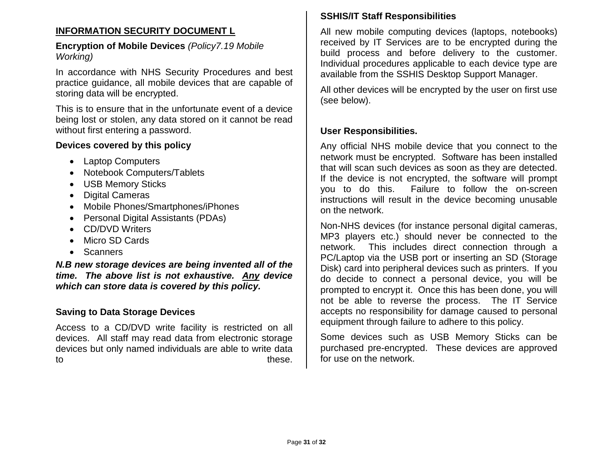## **INFORMATION SECURITY DOCUMENT L**

#### **Encryption of Mobile Devices** *(Policy7.19 Mobile Working)*

In accordance with NHS Security Procedures and best practice guidance, all mobile devices that are capable of storing data will be encrypted.

This is to ensure that in the unfortunate event of a device being lost or stolen, any data stored on it cannot be read without first entering a password.

#### **Devices covered by this policy**

- Laptop Computers
- Notebook Computers/Tablets
- USB Memory Sticks
- Digital Cameras
- Mobile Phones/Smartphones/iPhones
- Personal Digital Assistants (PDAs)
- CD/DVD Writers
- Micro SD Cards
- Scanners

*N.B new storage devices are being invented all of the time. The above list is not exhaustive. Any device which can store data is covered by this policy.*

#### **Saving to Data Storage Devices**

Access to a CD/DVD write facility is restricted on all devices. All staff may read data from electronic storage devices but only named individuals are able to write data to these.

#### **SSHIS/IT Staff Responsibilities**

All new mobile computing devices (laptops, notebooks) received by IT Services are to be encrypted during the build process and before delivery to the customer. Individual procedures applicable to each device type are available from the SSHIS Desktop Support Manager.

All other devices will be encrypted by the user on first use (see below).

#### **User Responsibilities.**

Any official NHS mobile device that you connect to the network must be encrypted. Software has been installed that will scan such devices as soon as they are detected. If the device is not encrypted, the software will prompt you to do this. Failure to follow the on-screen instructions will result in the device becoming unusable on the network.

Non-NHS devices (for instance personal digital cameras, MP3 players etc.) should never be connected to the network. This includes direct connection through a PC/Laptop via the USB port or inserting an SD (Storage Disk) card into peripheral devices such as printers. If you do decide to connect a personal device, you will be prompted to encrypt it. Once this has been done, you will not be able to reverse the process. The IT Service accepts no responsibility for damage caused to personal equipment through failure to adhere to this policy.

Some devices such as USB Memory Sticks can be purchased pre-encrypted. These devices are approved for use on the network.